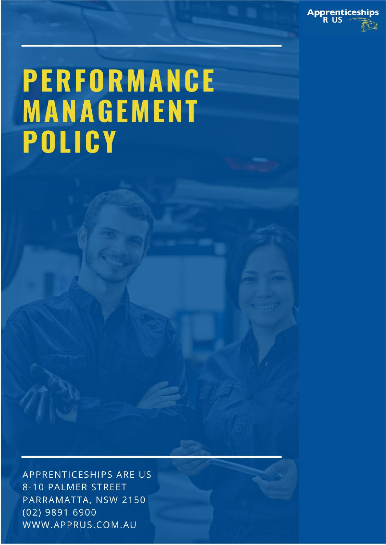

# PERFORMANCE MANAGEMENT POLICY

APPRENTICESHIPS ARE US 8-10 PALMER STREET PARRAMATTA, NSW 2150 (02) 9891 6900 WWW.APPRUS.COM.AU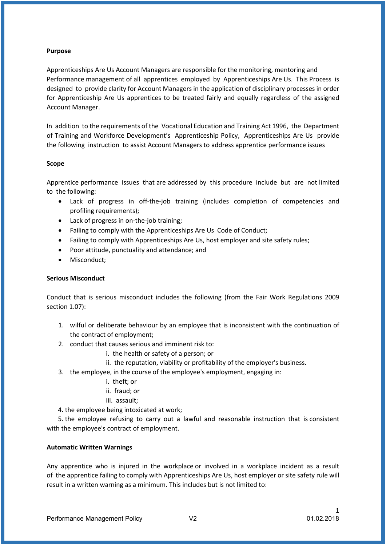#### **Purpose**

Apprenticeships Are Us Account Managers are responsible for the monitoring, mentoring and Performance management of all apprentices employed by Apprenticeships Are Us. This Process is designed to provide clarity for Account Managers in the application of disciplinary processes in order for Apprenticeship Are Us apprentices to be treated fairly and equally regardless of the assigned Account Manager.

In addition to the requirements of the Vocational Education and Training Act 1996, the Department of Training and Workforce Development's Apprenticeship Policy, Apprenticeships Are Us provide the following instruction to assist Account Managers to address apprentice performance issues

# **Scope**

Apprentice performance issues that are addressed by this procedure include but are not limited to the following:

- Lack of progress in off-the-job training (includes completion of competencies and profiling requirements);
- Lack of progress in on-the-job training;
- Failing to comply with the Apprenticeships Are Us Code of Conduct;
- Failing to comply with Apprenticeships Are Us, host employer and site safety rules;
- Poor attitude, punctuality and attendance; and
- Misconduct:

# **Serious Misconduct**

Conduct that is serious misconduct includes the following (from the Fair Work Regulations 2009 section 1.07):

- 1. wilful or deliberate behaviour by an employee that is inconsistent with the continuation of the contract of employment;
- 2. conduct that causes serious and imminent risk to:
	- i. the health or safety of a person; or
	- ii. the reputation, viability or profitability of the employer's business.
- 3. the employee, in the course of the employee's employment, engaging in:
	- i. theft; or
	- ii. fraud; or
	- iii. assault;
- 4. the employee being intoxicated at work;

 5. the employee refusing to carry out a lawful and reasonable instruction that is consistent with the employee's contract of employment.

# **Automatic Written Warnings**

Any apprentice who is injured in the workplace or involved in a workplace incident as a result of the apprentice failing to comply with Apprenticeships Are Us, host employer or site safety rule will result in a written warning as a minimum. This includes but is not limited to: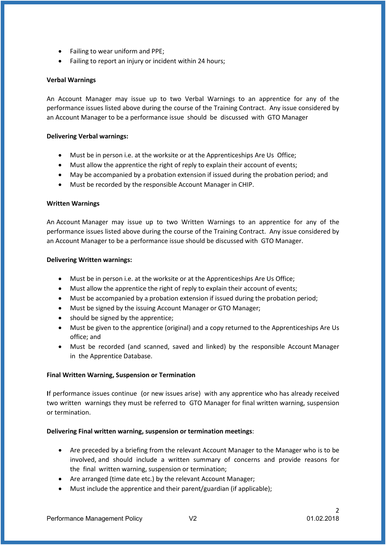- Failing to wear uniform and PPE;
- Failing to report an injury or incident within 24 hours;

# **Verbal Warnings**

An Account Manager may issue up to two Verbal Warnings to an apprentice for any of the performance issues listed above during the course of the Training Contract. Any issue considered by an Account Manager to be a performance issue should be discussed with GTO Manager

#### **Delivering Verbal warnings:**

- Must be in person i.e. at the worksite or at the Apprenticeships Are Us Office;
- Must allow the apprentice the right of reply to explain their account of events;
- May be accompanied by a probation extension if issued during the probation period; and
- Must be recorded by the responsible Account Manager in CHIP.

#### **Written Warnings**

An Account Manager may issue up to two Written Warnings to an apprentice for any of the performance issues listed above during the course of the Training Contract. Any issue considered by an Account Manager to be a performance issue should be discussed with GTO Manager.

#### **Delivering Written warnings:**

- Must be in person i.e. at the worksite or at the Apprenticeships Are Us Office;
- Must allow the apprentice the right of reply to explain their account of events;
- Must be accompanied by a probation extension if issued during the probation period;
- Must be signed by the issuing Account Manager or GTO Manager;
- should be signed by the apprentice;
- Must be given to the apprentice (original) and a copy returned to the Apprenticeships Are Us office; and
- Must be recorded (and scanned, saved and linked) by the responsible Account Manager in the Apprentice Database.

# **Final Written Warning, Suspension or Termination**

**I**f performance issues continue (or new issues arise) with any apprentice who has already received two written warnings they must be referred to GTO Manager for final written warning, suspension or termination.

# **Delivering Final written warning, suspension or termination meetings**:

- Are preceded by a briefing from the relevant Account Manager to the Manager who is to be involved, and should include a written summary of concerns and provide reasons for the final written warning, suspension or termination;
- Are arranged (time date etc.) by the relevant Account Manager;
- Must include the apprentice and their parent/guardian (if applicable);